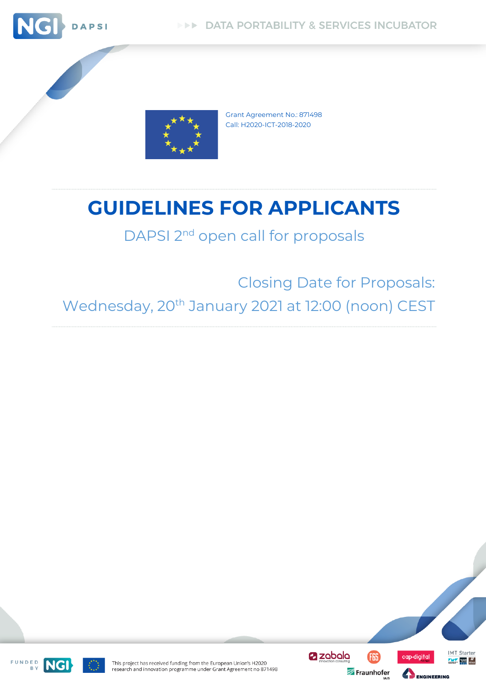



Grant Agreement No.: 871498 Call: H2020-ICT-2018-2020

# **GUIDELINES FOR APPLICANTS**

# DAPSI 2<sup>nd</sup> open call for proposals

Closing Date for Proposals: Wednesday, 20<sup>th</sup> January 2021 at 12:00 (noon) CEST



**IMT** Starter

 $\frac{1}{\sqrt{2}}$  rates  $\frac{1}{2}$ 

cap-digital

ENGINEERING

This project has received funding from the European Union's H2020 research and innovation programme under Grant Agreement no 871498



FUNDED<br>BY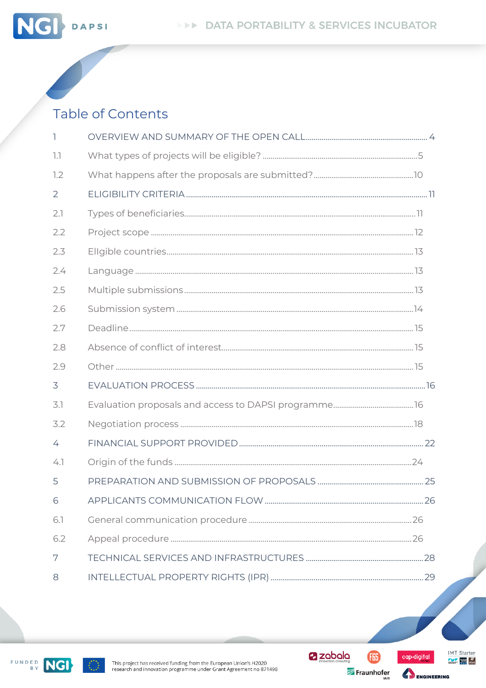



DAPSI

**NG** 

| ı   |  |
|-----|--|
| 1.1 |  |
| 1.2 |  |
| 2   |  |
| 2.1 |  |
| 2.2 |  |
| 2.3 |  |
| 2.4 |  |
| 2.5 |  |
| 2.6 |  |
| 2.7 |  |
| 2.8 |  |
| 2.9 |  |
| 3   |  |
| 3.1 |  |
| 3.2 |  |
| 4   |  |
| 4.1 |  |
| 5   |  |
| 6   |  |
| 6.1 |  |
| 6.2 |  |
| 7   |  |
| 8   |  |



2 zabala **GB** 

Fraunhofer



ENGINEERING

IMT Starter  $\frac{N}{\sqrt{N}}$  and  $\frac{N}{\sqrt{N}}$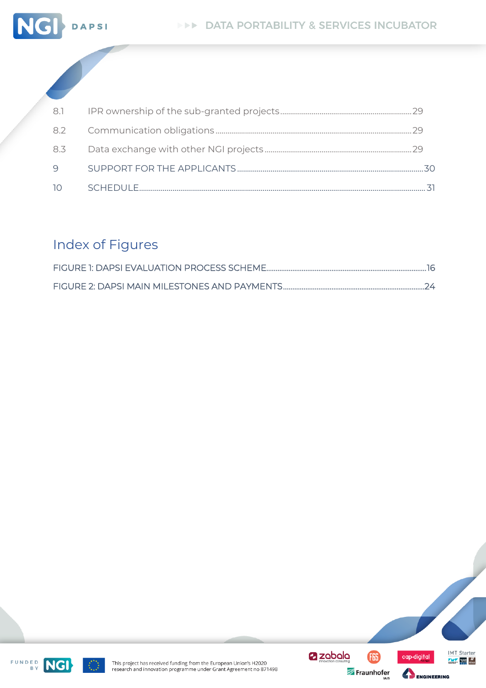

| 8.1  |    |
|------|----|
|      |    |
| 8.3  |    |
| Q    | スの |
| - 10 |    |

# **Index of Figures**





(ili)



 $\frac{N}{N}$  rate:  $\frac{N}{N}$ 

IMT Starter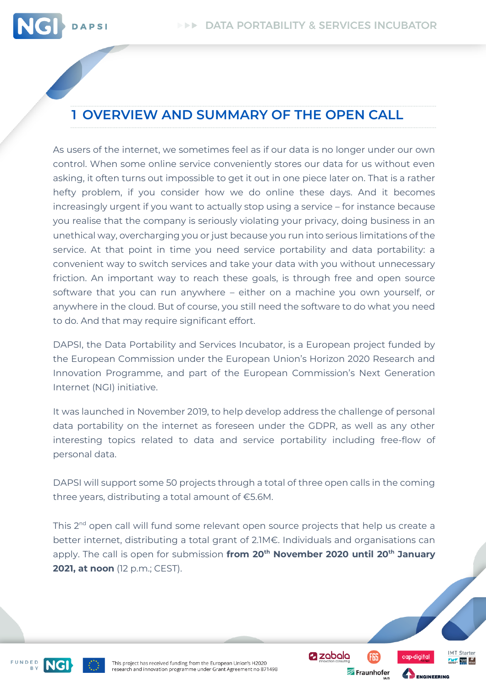

# <span id="page-3-0"></span>**1 OVERVIEW AND SUMMARY OF THE OPEN CALL**

As users of the internet, we sometimes feel as if our data is no longer under our own control. When some online service conveniently stores our data for us without even asking, it often turns out impossible to get it out in one piece later on. That is a rather hefty problem, if you consider how we do online these days. And it becomes increasingly urgent if you want to actually stop using a service – for instance because you realise that the company is seriously violating your privacy, doing business in an unethical way, overcharging you or just because you run into serious limitations of the service. At that point in time you need service portability and data portability: a convenient way to switch services and take your data with you without unnecessary friction. An important way to reach these goals, is through free and open source software that you can run anywhere – either on a machine you own yourself, or anywhere in the cloud. But of course, you still need the software to do what you need to do. And that may require significant effort.

DAPSI, the Data Portability and Services Incubator, is a European project funded by the European Commission under the European Union's Horizon 2020 Research and Innovation Programme, and part of the European Commission's Next Generation Internet (NGI) initiative.

It was launched in November 2019, to help develop address the challenge of personal data portability on the internet as foreseen under the GDPR, as well as any other interesting topics related to data and service portability including free-flow of personal data.

DAPSI will support some 50 projects through a total of three open calls in the coming three years, distributing a total amount of €5.6M.

This 2nd open call will fund some relevant open source projects that help us create a better internet, distributing a total grant of 2.1M€. Individuals and organisations can apply. The call is open for submission **from 20th November 2020 until 20th January 2021, at noon** (12 p.m.; CEST).

FUNDED



This project has received funding from the European Union's H2020 research and innovation programme under Grant Agreement no 871498 **Z** zabala

Fraunhofer



**ENGINEERING** 

**IMT** Starter  $\frac{1}{\sqrt{2}}$  rates  $\frac{H}{\sqrt{2}}$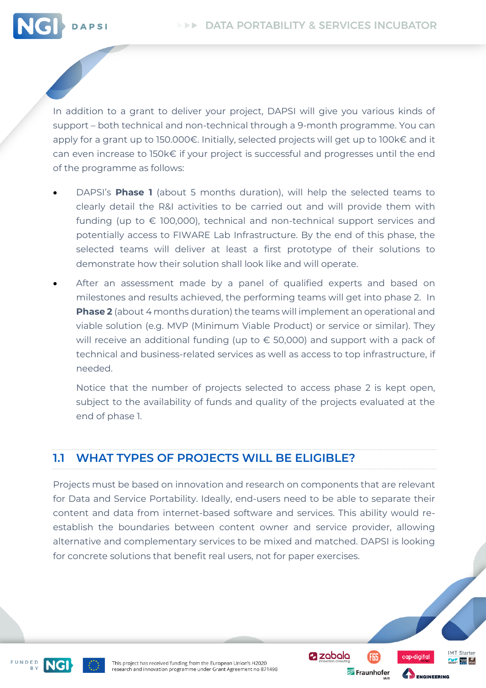

In addition to a grant to deliver your project, DAPSI will give you various kinds of support – both technical and non-technical through a 9-month programme. You can apply for a grant up to 150.000€. Initially, selected projects will get up to 100k€ and it can even increase to 150k€ if your project is successful and progresses until the end of the programme as follows:

- DAPSI's **Phase 1** (about 5 months duration), will help the selected teams to clearly detail the R&I activities to be carried out and will provide them with funding (up to  $\epsilon$  100,000), technical and non-technical support services and potentially access to FIWARE Lab Infrastructure. By the end of this phase, the selected teams will deliver at least a first prototype of their solutions to demonstrate how their solution shall look like and will operate.
- After an assessment made by a panel of qualified experts and based on milestones and results achieved, the performing teams will get into phase 2. In **Phase 2** (about 4 months duration) the teams will implement an operational and viable solution (e.g. MVP (Minimum Viable Product) or service or similar). They will receive an additional funding (up to € 50,000) and support with a pack of technical and business-related services as well as access to top infrastructure, if needed.

Notice that the number of projects selected to access phase 2 is kept open, subject to the availability of funds and quality of the projects evaluated at the end of phase 1.

### <span id="page-4-0"></span>**1.1 WHAT TYPES OF PROJECTS WILL BE ELIGIBLE?**

Projects must be based on innovation and research on components that are relevant for Data and Service Portability. Ideally, end-users need to be able to separate their content and data from internet-based software and services. This ability would reestablish the boundaries between content owner and service provider, allowing alternative and complementary services to be mixed and matched. DAPSI is looking for concrete solutions that benefit real users, not for paper exercises.

FUNDED



This project has received funding from the European Union's H2020 research and innovation programme under Grant Agreement no 871498 **Z** zabala

Fraunhofer



**ENGINEERING** 

**IMT** Starter  $\frac{1}{\sqrt{2}}$  rates  $\frac{H}{\sqrt{2}}$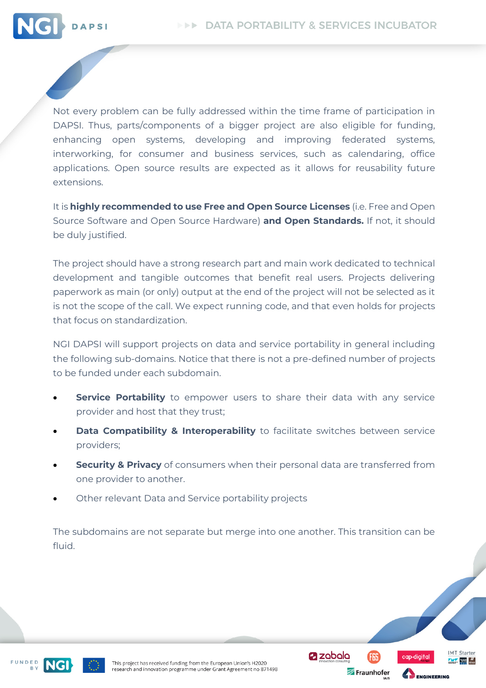

Not every problem can be fully addressed within the time frame of participation in DAPSI. Thus, parts/components of a bigger project are also eligible for funding, enhancing open systems, developing and improving federated systems, interworking, for consumer and business services, such as calendaring, office applications. Open source results are expected as it allows for reusability future extensions.

It is **highly recommended to use Free and Open Source Licenses** (i.e. Free and Open Source Software and Open Source Hardware) **and Open Standards.** If not, it should be duly justified.

The project should have a strong research part and main work dedicated to technical development and tangible outcomes that benefit real users. Projects delivering paperwork as main (or only) output at the end of the project will not be selected as it is not the scope of the call. We expect running code, and that even holds for projects that focus on standardization.

NGI DAPSI will support projects on data and service portability in general including the following sub-domains. Notice that there is not a pre-defined number of projects to be funded under each subdomain.

- **Service Portability** to empower users to share their data with any service provider and host that they trust;
- **Data Compatibility & Interoperability** to facilitate switches between service providers;
- **Security & Privacy** of consumers when their personal data are transferred from one provider to another.
- Other relevant Data and Service portability projects

The subdomains are not separate but merge into one another. This transition can be fluid.

**Z** zabala

Fraunhofer

**IMT** Starter

 $\frac{1}{\sqrt{2}}$  where  $\frac{1}{\sqrt{2}}$ 



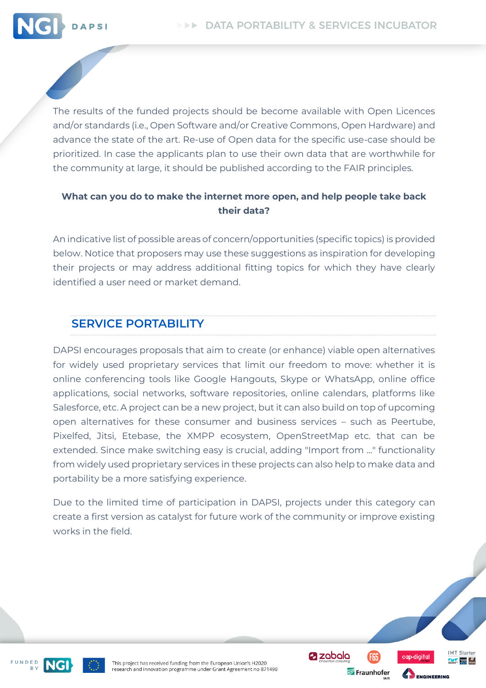

The results of the funded projects should be become available with Open Licences and/or standards (i.e., Open Software and/or Creative Commons, Open Hardware) and advance the state of the art. Re-use of Open data for the specific use-case should be prioritized. In case the applicants plan to use their own data that are worthwhile for the community at large, it should be published according to the FAIR principles.

#### **What can you do to make the internet more open, and help people take back their data?**

An indicative list of possible areas of concern/opportunities (specific topics) is provided below. Notice that proposers may use these suggestions as inspiration for developing their projects or may address additional fitting topics for which they have clearly identified a user need or market demand.

### **SERVICE PORTABILITY**

DAPSI encourages proposals that aim to create (or enhance) viable open alternatives for widely used proprietary services that limit our freedom to move: whether it is online conferencing tools like Google Hangouts, Skype or WhatsApp, online office applications, social networks, software repositories, online calendars, platforms like Salesforce, etc. A project can be a new project, but it can also build on top of upcoming open alternatives for these consumer and business services – such as Peertube, Pixelfed, Jitsi, Etebase, the XMPP ecosystem, OpenStreetMap etc. that can be extended. Since make switching easy is crucial, adding "Import from ..." functionality from widely used proprietary services in these projects can also help to make data and portability be a more satisfying experience.

Due to the limited time of participation in DAPSI, projects under this category can create a first version as catalyst for future work of the community or improve existing works in the field.





This project has received funding from the European Union's H2020 research and innovation programme under Grant Agreement no 871498 **Z** zabala

Fraunhofer



**ENGINEERING** 

**IMT** Starter  $\frac{1}{\sqrt{2}}$  where  $\frac{1}{\sqrt{2}}$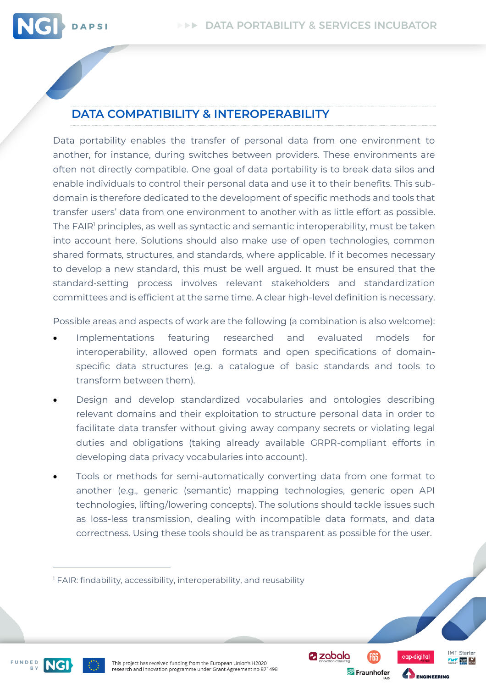

Data portability enables the transfer of personal data from one environment to another, for instance, during switches between providers. These environments are often not directly compatible. One goal of data portability is to break data silos and enable individuals to control their personal data and use it to their benefits. This subdomain is therefore dedicated to the development of specific methods and tools that transfer users' data from one environment to another with as little effort as possible. The FAIR<sup>1</sup> principles, as well as syntactic and semantic interoperability, must be taken into account here. Solutions should also make use of open technologies, common shared formats, structures, and standards, where applicable. If it becomes necessary to develop a new standard, this must be well argued. It must be ensured that the standard-setting process involves relevant stakeholders and standardization committees and is efficient at the same time. A clear high-level definition is necessary.

Possible areas and aspects of work are the following (a combination is also welcome):

- Implementations featuring researched and evaluated models for interoperability, allowed open formats and open specifications of domainspecific data structures (e.g. a catalogue of basic standards and tools to transform between them).
- Design and develop standardized vocabularies and ontologies describing relevant domains and their exploitation to structure personal data in order to facilitate data transfer without giving away company secrets or violating legal duties and obligations (taking already available GRPR-compliant efforts in developing data privacy vocabularies into account).
- Tools or methods for semi-automatically converting data from one format to another (e.g., generic (semantic) mapping technologies, generic open API technologies, lifting/lowering concepts). The solutions should tackle issues such as loss-less transmission, dealing with incompatible data formats, and data correctness. Using these tools should be as transparent as possible for the user.

FUNDED



**Z** zabala Fraunhofer **IMT** Starter

 $\frac{1}{\sqrt{2}}$  where  $\frac{1}{\sqrt{2}}$ 

<sup>&</sup>lt;sup>1</sup> FAIR: findability, accessibility, interoperability, and reusability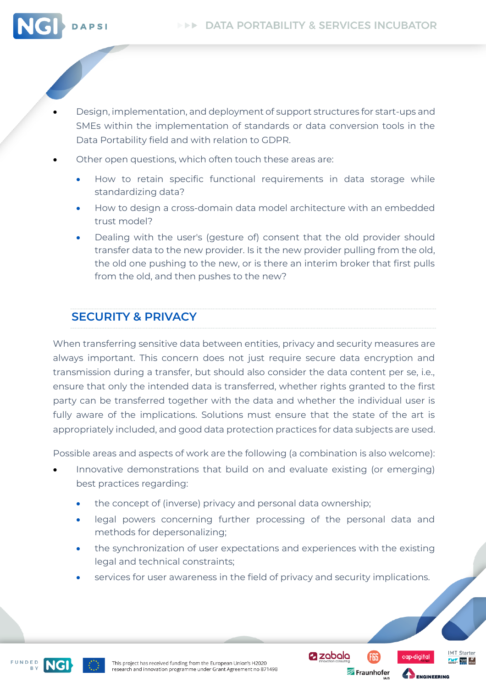

- Design, implementation, and deployment of support structures for start-ups and SMEs within the implementation of standards or data conversion tools in the Data Portability field and with relation to GDPR.
- Other open questions, which often touch these areas are:
	- How to retain specific functional requirements in data storage while standardizing data?
	- How to design a cross-domain data model architecture with an embedded trust model?
	- Dealing with the user's (gesture of) consent that the old provider should transfer data to the new provider. Is it the new provider pulling from the old, the old one pushing to the new, or is there an interim broker that first pulls from the old, and then pushes to the new?

### **SECURITY & PRIVACY**

When transferring sensitive data between entities, privacy and security measures are always important. This concern does not just require secure data encryption and transmission during a transfer, but should also consider the data content per se, i.e., ensure that only the intended data is transferred, whether rights granted to the first party can be transferred together with the data and whether the individual user is fully aware of the implications. Solutions must ensure that the state of the art is appropriately included, and good data protection practices for data subjects are used.

Possible areas and aspects of work are the following (a combination is also welcome):

- Innovative demonstrations that build on and evaluate existing (or emerging) best practices regarding:
	- the concept of (inverse) privacy and personal data ownership;
	- legal powers concerning further processing of the personal data and methods for depersonalizing;
	- the synchronization of user expectations and experiences with the existing legal and technical constraints;
	- services for user awareness in the field of privacy and security implications.





**Z** zabala Fraunhofer



**ENGINEERING** 

**IMT** Starter

 $\frac{1}{\sqrt{2}}$  where  $\frac{1}{\sqrt{2}}$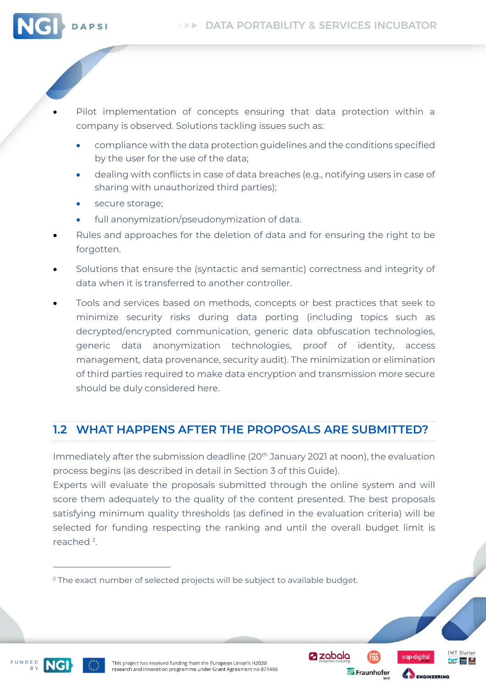

- Pilot implementation of concepts ensuring that data protection within a company is observed. Solutions tackling issues such as:
	- compliance with the data protection guidelines and the conditions specified by the user for the use of the data;
	- dealing with conflicts in case of data breaches (e.g., notifying users in case of sharing with unauthorized third parties);
	- secure storage;
	- full anonymization/pseudonymization of data.
- Rules and approaches for the deletion of data and for ensuring the right to be forgotten.
- Solutions that ensure the (syntactic and semantic) correctness and integrity of data when it is transferred to another controller.
- Tools and services based on methods, concepts or best practices that seek to minimize security risks during data porting (including topics such as decrypted/encrypted communication, generic data obfuscation technologies, generic data anonymization technologies, proof of identity, access management, data provenance, security audit). The minimization or elimination of third parties required to make data encryption and transmission more secure should be duly considered here.

### <span id="page-9-0"></span>**1.2 WHAT HAPPENS AFTER THE PROPOSALS ARE SUBMITTED?**

Immediately after the submission deadline  $(20<sup>th</sup>$  January 2021 at noon), the evaluation process begins (as described in detail in Section 3 of this Guide).

Experts will evaluate the proposals submitted through the online system and will score them adequately to the quality of the content presented. The best proposals satisfying minimum quality thresholds (as defined in the evaluation criteria) will be selected for funding respecting the ranking and until the overall budget limit is reached<sup>2</sup>.

FUNDED



This project has received funding from the European Union's H2020 research and innovation programme under Grant Agreement no 871498 **Z** zabala

Fraunhofer



MT Starter

<sup>&</sup>lt;sup>2</sup> The exact number of selected projects will be subject to available budget.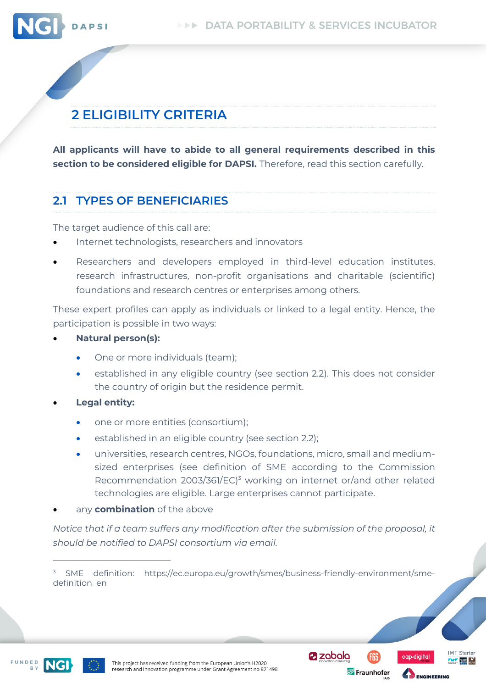

# <span id="page-10-0"></span>**2 ELIGIBILITY CRITERIA**

**All applicants will have to abide to all general requirements described in this section to be considered eligible for DAPSI.** Therefore, read this section carefully.

### <span id="page-10-1"></span>**2.1 TYPES OF BENEFICIARIES**

The target audience of this call are:

- Internet technologists, researchers and innovators
- Researchers and developers employed in third-level education institutes, research infrastructures, non-profit organisations and charitable (scientific) foundations and research centres or enterprises among others.

These expert profiles can apply as individuals or linked to a legal entity. Hence, the participation is possible in two ways:

- **Natural person(s):**
	- One or more individuals (team);
	- established in any eligible country (see section 2.2). This does not consider the country of origin but the residence permit.
- **Legal entity:**
	- one or more entities (consortium);
	- established in an eligible country (see section 2.2);
	- universities, research centres, NGOs, foundations, micro, small and mediumsized enterprises (see definition of SME according to the Commission Recommendation 2003/361/EC)<sup>3</sup> working on internet or/and other related technologies are eligible. Large enterprises cannot participate.
- any **combination** of the above

*Notice that if a team suffers any modification after the submission of the proposal, it should be notified to DAPSI consortium via email.*





Fraunhofer

**Z** zabala



 $3$  SME definition: https://ec.europa.eu/growth/smes/business-friendly-environment/smedefinition\_en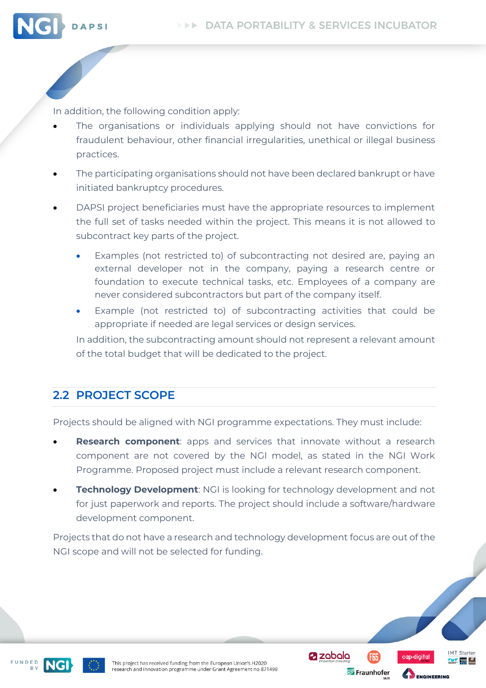

In addition, the following condition apply:

- The organisations or individuals applying should not have convictions for fraudulent behaviour, other financial irregularities, unethical or illegal business practices.
- The participating organisations should not have been declared bankrupt or have initiated bankruptcy procedures.
- DAPSI project beneficiaries must have the appropriate resources to implement the full set of tasks needed within the project. This means it is not allowed to subcontract key parts of the project.
	- Examples (not restricted to) of subcontracting not desired are, paying an external developer not in the company, paying a research centre or foundation to execute technical tasks, etc. Employees of a company are never considered subcontractors but part of the company itself.
	- Example (not restricted to) of subcontracting activities that could be appropriate if needed are legal services or design services.

In addition, the subcontracting amount should not represent a relevant amount of the total budget that will be dedicated to the project.

### <span id="page-11-0"></span>**2.2 PROJECT SCOPE**

Projects should be aligned with NGI programme expectations. They must include:

- **Research component**: apps and services that innovate without a research component are not covered by the NGI model, as stated in the NGI Work Programme. Proposed project must include a relevant research component.
- **Technology Development: NGI is looking for technology development and not** for just paperwork and reports. The project should include a software/hardware development component.

Projects that do not have a research and technology development focus are out of the NGI scope and will not be selected for funding.





**Z** zobolo Fraunhofer



MT Starter

 $\frac{1}{\sqrt{2}}$  rates  $\frac{H}{\sqrt{2}}$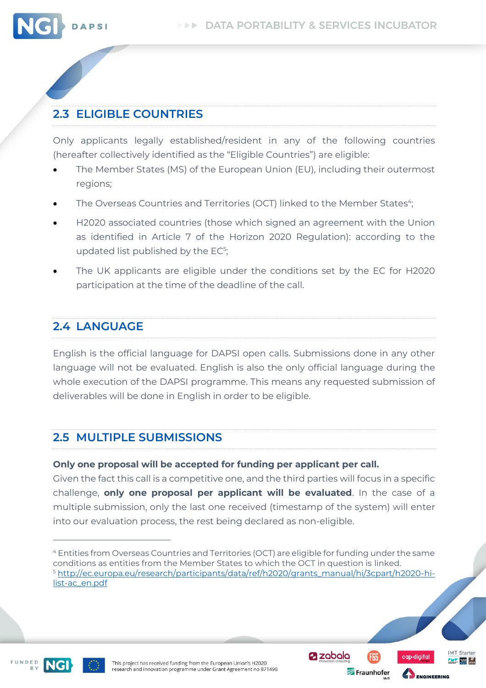

### <span id="page-12-0"></span>**2.3 ELIGIBLE COUNTRIES**

Only applicants legally established/resident in any of the following countries (hereafter collectively identified as the "Eligible Countries") are eligible:

- The Member States (MS) of the European Union (EU), including their outermost regions;
- $\bullet$  The Overseas Countries and Territories (OCT) linked to the Member States $\lq\lq$
- H2020 associated countries (those which signed an agreement with the Union as identified in Article 7 of the Horizon 2020 Regulation): according to the updated list published by the  $EC^5$ ;
- The UK applicants are eligible under the conditions set by the EC for H2020 participation at the time of the deadline of the call.

### <span id="page-12-1"></span>**2.4 LANGUAGE**

English is the official language for DAPSI open calls. Submissions done in any other language will not be evaluated. English is also the only official language during the whole execution of the DAPSI programme. This means any requested submission of deliverables will be done in English in order to be eligible.

### <span id="page-12-2"></span>**2.5 MULTIPLE SUBMISSIONS**

#### **Only one proposal will be accepted for funding per applicant per call.**

Given the fact this call is a competitive one, and the third parties will focus in a specific challenge, **only one proposal per applicant will be evaluated**. In the case of a multiple submission, only the last one received (timestamp of the system) will enter into our evaluation process, the rest being declared as non-eligible.

FUNDED



**a** zabala Fraunhofer



ENGINEERING

**IMT** Starter

 $\frac{1}{\sqrt{2}}$  where  $\frac{1}{\sqrt{2}}$ 

<sup>4</sup> Entities from Overseas Countries and Territories (OCT) are eligible for funding under the same conditions as entities from the Member States to which the OCT in question is linked. <sup>5</sup> [http://ec.europa.eu/research/participants/data/ref/h2020/grants\\_manual/hi/3cpart/h2020-hi](http://ec.europa.eu/research/participants/data/ref/h2020/grants_manual/hi/3cpart/h2020-hi-list-ac_en.pdf)[list-ac\\_en.pdf](http://ec.europa.eu/research/participants/data/ref/h2020/grants_manual/hi/3cpart/h2020-hi-list-ac_en.pdf)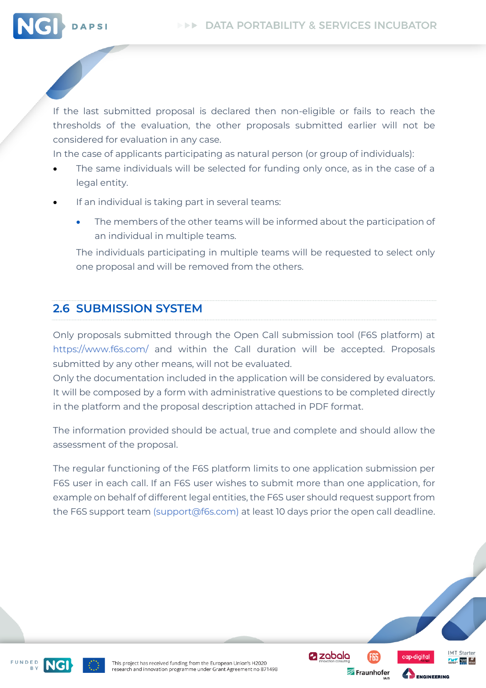

If the last submitted proposal is declared then non-eligible or fails to reach the thresholds of the evaluation, the other proposals submitted earlier will not be considered for evaluation in any case.

In the case of applicants participating as natural person (or group of individuals):

- The same individuals will be selected for funding only once, as in the case of a legal entity.
- If an individual is taking part in several teams:
	- The members of the other teams will be informed about the participation of an individual in multiple teams.

The individuals participating in multiple teams will be requested to select only one proposal and will be removed from the others.

### <span id="page-13-0"></span>**2.6 SUBMISSION SYSTEM**

Only proposals submitted through the Open Call submission tool (F6S platform) at https://www.f6s.com/ and within the Call duration will be accepted. Proposals submitted by any other means, will not be evaluated.

Only the documentation included in the application will be considered by evaluators. It will be composed by a form with administrative questions to be completed directly in the platform and the proposal description attached in PDF format.

The information provided should be actual, true and complete and should allow the assessment of the proposal.

The regular functioning of the F6S platform limits to one application submission per F6S user in each call. If an F6S user wishes to submit more than one application, for example on behalf of different legal entities, the F6S user should request support from the F6S support team (support@f6s.com) at least 10 days prior the open call deadline.





This project has received funding from the European Union's H2020 research and innovation programme under Grant Agreement no 871498 **Z** zabala

Fraunhofer



**ENGINEERING** 

MT Starter

 $\frac{1}{\sqrt{2}}$  where  $\frac{1}{\sqrt{2}}$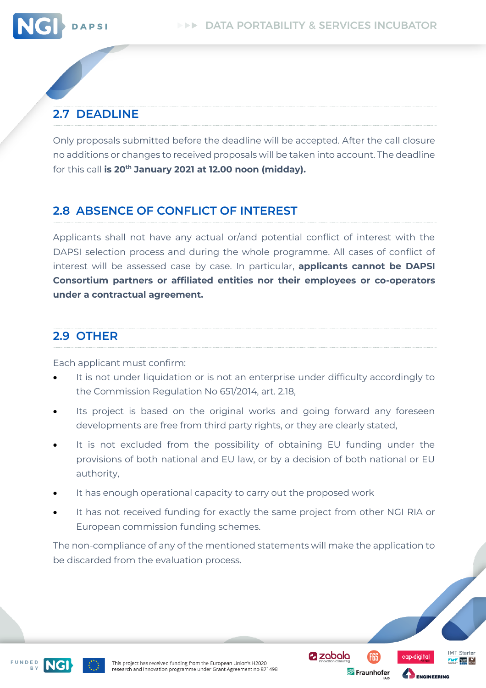

### <span id="page-14-0"></span>**2.7 DEADLINE**

Only proposals submitted before the deadline will be accepted. After the call closure no additions or changes to received proposals will be taken into account. The deadline for this call **is 20th January 2021 at 12.00 noon (midday).**

### <span id="page-14-1"></span>**2.8 ABSENCE OF CONFLICT OF INTEREST**

Applicants shall not have any actual or/and potential conflict of interest with the DAPSI selection process and during the whole programme. All cases of conflict of interest will be assessed case by case. In particular, **applicants cannot be DAPSI Consortium partners or affiliated entities nor their employees or co-operators under a contractual agreement.**

### <span id="page-14-2"></span>**2.9 OTHER**

Each applicant must confirm:

- It is not under liquidation or is not an enterprise under difficulty accordingly to the Commission Regulation No 651/2014, art. 2.18,
- Its project is based on the original works and going forward any foreseen developments are free from third party rights, or they are clearly stated,
- It is not excluded from the possibility of obtaining EU funding under the provisions of both national and EU law, or by a decision of both national or EU authority,
- It has enough operational capacity to carry out the proposed work
- It has not received funding for exactly the same project from other NGI RIA or European commission funding schemes.

The non-compliance of any of the mentioned statements will make the application to be discarded from the evaluation process.





**Z** zabala

Fraunhofer



MT Starter

 $\frac{1}{\sqrt{2}}$  rates  $\frac{H}{\sqrt{2}}$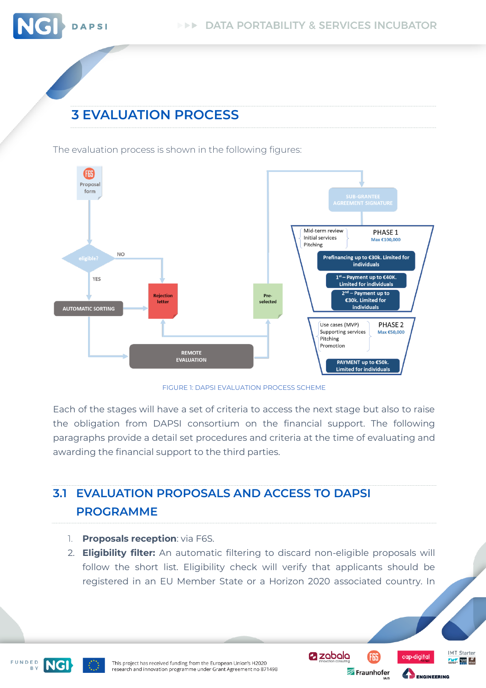

# <span id="page-15-0"></span>**3 EVALUATION PROCESS**

DAPSI

The evaluation process is shown in the following figures:



FIGURE 1: DAPSI EVALUATION PROCESS SCHEME

<span id="page-15-2"></span>Each of the stages will have a set of criteria to access the next stage but also to raise the obligation from DAPSI consortium on the financial support. The following paragraphs provide a detail set procedures and criteria at the time of evaluating and awarding the financial support to the third parties.

# <span id="page-15-1"></span>**3.1 EVALUATION PROPOSALS AND ACCESS TO DAPSI PROGRAMME**

- 1. **Proposals reception**: via F6S.
- 2. **Eligibility filter:** An automatic filtering to discard non-eligible proposals will follow the short list. Eligibility check will verify that applicants should be registered in an EU Member State or a Horizon 2020 associated country. In

**@zobolo** 

FGS

Fraunhofer

ap-diaital

ENGINEERING

**IMT Starter** 

 $\frac{1}{\sqrt{1-\frac{1}{2}}}\int_{0.0001}^{\infty}$ 



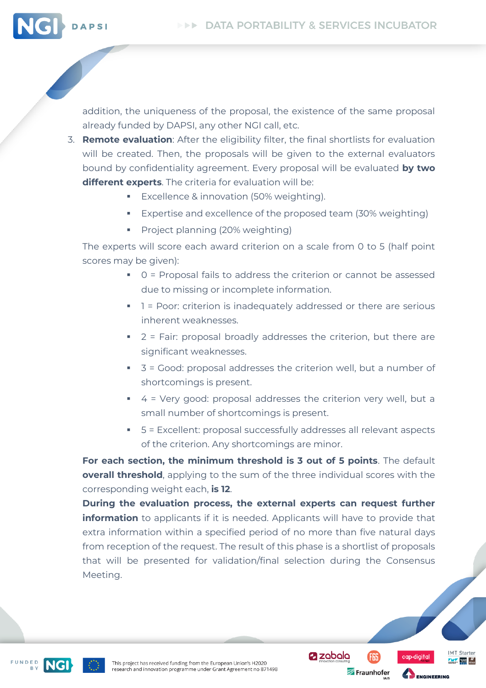

addition, the uniqueness of the proposal, the existence of the same proposal already funded by DAPSI, any other NGI call, etc.

- 3. **Remote evaluation**: After the eligibility filter, the final shortlists for evaluation will be created. Then, the proposals will be given to the external evaluators bound by confidentiality agreement. Every proposal will be evaluated **by two different experts**. The criteria for evaluation will be:
	- Excellence & innovation (50% weighting).
	- Expertise and excellence of the proposed team (30% weighting)
	- Project planning (20% weighting)

The experts will score each award criterion on a scale from 0 to 5 (half point scores may be given):

- 0 = Proposal fails to address the criterion or cannot be assessed due to missing or incomplete information.
- 1 = Poor: criterion is inadequately addressed or there are serious inherent weaknesses.
- 2 = Fair: proposal broadly addresses the criterion, but there are significant weaknesses.
- $\overline{\phantom{a}}$  3 = Good: proposal addresses the criterion well, but a number of shortcomings is present.
- 4 = Very good: proposal addresses the criterion very well, but a small number of shortcomings is present.
- 5 = Excellent: proposal successfully addresses all relevant aspects of the criterion. Any shortcomings are minor.

**For each section, the minimum threshold is 3 out of 5 points**. The default **overall threshold**, applying to the sum of the three individual scores with the corresponding weight each, **is 12**.

**During the evaluation process, the external experts can request further information** to applicants if it is needed. Applicants will have to provide that extra information within a specified period of no more than five natural days from reception of the request. The result of this phase is a shortlist of proposals that will be presented for validation/final selection during the Consensus Meeting.





**Z** zabala

Fraunhofer



**ENGINEERING** 

**IMT** Starter

 $\frac{1}{\sqrt{2}}$  rates  $\frac{H}{\text{const}}$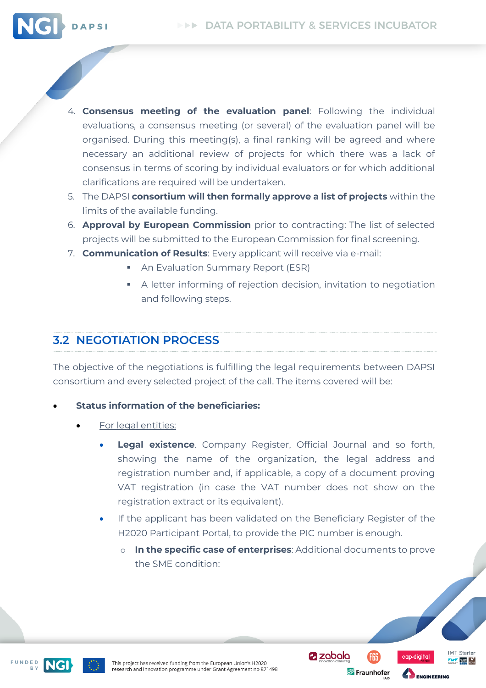

- 4. **Consensus meeting of the evaluation panel**: Following the individual evaluations, a consensus meeting (or several) of the evaluation panel will be organised. During this meeting(s), a final ranking will be agreed and where necessary an additional review of projects for which there was a lack of consensus in terms of scoring by individual evaluators or for which additional clarifications are required will be undertaken.
- 5. The DAPSI **consortium will then formally approve a list of projects** within the limits of the available funding.
- 6. **Approval by European Commission** prior to contracting: The list of selected projects will be submitted to the European Commission for final screening.
- 7. **Communication of Results**: Every applicant will receive via e-mail:
	- **An Evaluation Summary Report (ESR)**
	- A letter informing of rejection decision, invitation to negotiation and following steps.

### <span id="page-17-0"></span>**3.2 NEGOTIATION PROCESS**

The objective of the negotiations is fulfilling the legal requirements between DAPSI consortium and every selected project of the call. The items covered will be:

#### • **Status information of the beneficiaries:**

- For legal entities:
	- **Legal existence**. Company Register, Official Journal and so forth, showing the name of the organization, the legal address and registration number and, if applicable, a copy of a document proving VAT registration (in case the VAT number does not show on the registration extract or its equivalent).
	- If the applicant has been validated on the Beneficiary Register of the H2020 Participant Portal, to provide the PIC number is enough.
		- o **In the specific case of enterprises**: Additional documents to prove the SME condition:

FUNDED



**Z** zabala

Fraunhofer



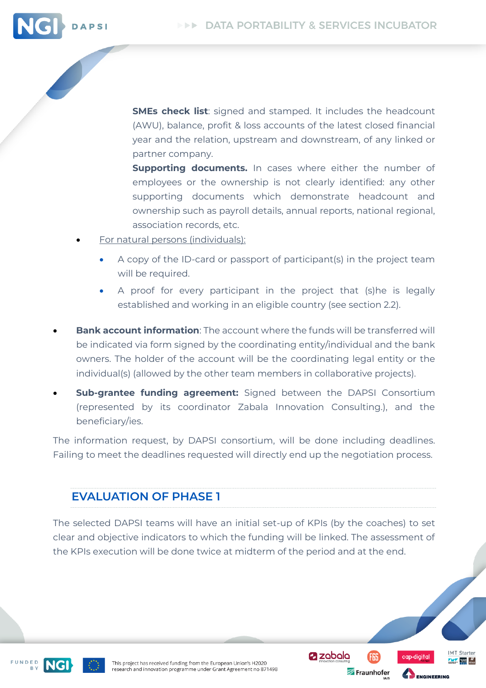

**Supporting documents.** In cases where either the number of employees or the ownership is not clearly identified: any other supporting documents which demonstrate headcount and ownership such as payroll details, annual reports, national regional, association records, etc.

- For natural persons (individuals):
	- A copy of the ID-card or passport of participant(s) in the project team will be required.
	- A proof for every participant in the project that (s)he is legally established and working in an eligible country (see section 2.2).
- **Bank account information**: The account where the funds will be transferred will be indicated via form signed by the coordinating entity/individual and the bank owners. The holder of the account will be the coordinating legal entity or the individual(s) (allowed by the other team members in collaborative projects).
- **Sub-grantee funding agreement:** Signed between the DAPSI Consortium (represented by its coordinator Zabala Innovation Consulting.), and the beneficiary/ies.

The information request, by DAPSI consortium, will be done including deadlines. Failing to meet the deadlines requested will directly end up the negotiation process.

### **EVALUATION OF PHASE 1**

The selected DAPSI teams will have an initial set-up of KPIs (by the coaches) to set clear and objective indicators to which the funding will be linked. The assessment of the KPIs execution will be done twice at midterm of the period and at the end.

**Z** zobolo

Fraunhofer

**IMT** Starter

 $\frac{1}{\sqrt{2}}$  rates  $\frac{H}{\text{const}}$ 



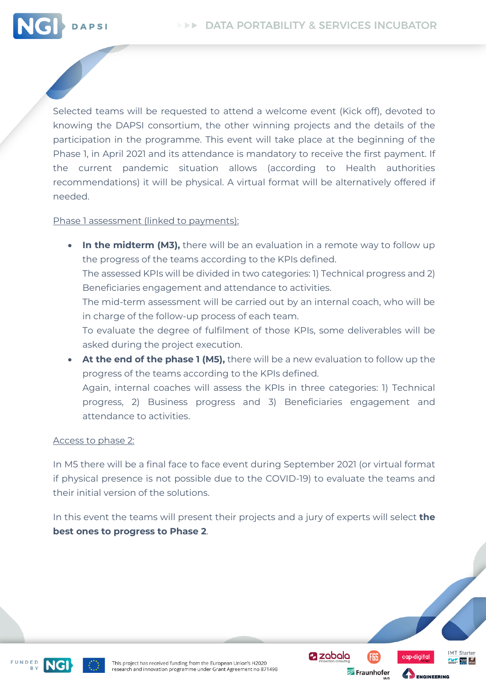

Selected teams will be requested to attend a welcome event (Kick off), devoted to knowing the DAPSI consortium, the other winning projects and the details of the participation in the programme. This event will take place at the beginning of the Phase 1, in April 2021 and its attendance is mandatory to receive the first payment. If the current pandemic situation allows (according to Health authorities recommendations) it will be physical. A virtual format will be alternatively offered if needed.

Phase 1 assessment (linked to payments):

- **In the midterm (M3),** there will be an evaluation in a remote way to follow up the progress of the teams according to the KPIs defined. The assessed KPIs will be divided in two categories: 1) Technical progress and 2) Beneficiaries engagement and attendance to activities. The mid-term assessment will be carried out by an internal coach, who will be in charge of the follow-up process of each team. To evaluate the degree of fulfilment of those KPIs, some deliverables will be asked during the project execution. **At the end of the phase 1 (M5),** there will be a new evaluation to follow up the
- progress of the teams according to the KPIs defined. Again, internal coaches will assess the KPIs in three categories: 1) Technical progress, 2) Business progress and 3) Beneficiaries engagement and attendance to activities.

#### Access to phase 2:

In M5 there will be a final face to face event during September 2021 (or virtual format if physical presence is not possible due to the COVID-19) to evaluate the teams and their initial version of the solutions.

In this event the teams will present their projects and a jury of experts will select **the best ones to progress to Phase 2**.

**Z** zobolo

Fraunhofer

**IMT** Starter

 $\frac{1}{\sqrt{2}}$  rates  $\frac{H}{\text{const}}$ 

10-diaital



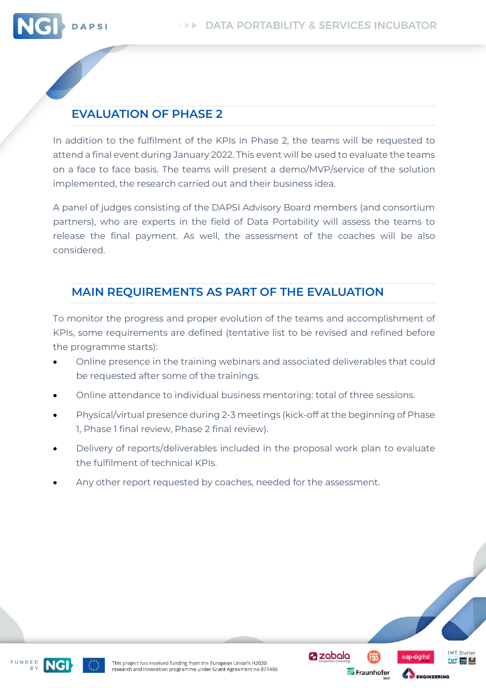

### **EVALUATION OF PHASE 2**

In addition to the fulfilment of the KPIs in Phase 2, the teams will be requested to attend a final event during January 2022. This event will be used to evaluate the teams on a face to face basis. The teams will present a demo/MVP/service of the solution implemented, the research carried out and their business idea.

A panel of judges consisting of the DAPSI Advisory Board members (and consortium partners), who are experts in the field of Data Portability will assess the teams to release the final payment. As well, the assessment of the coaches will be also considered.

### **MAIN REQUIREMENTS AS PART OF THE EVALUATION**

To monitor the progress and proper evolution of the teams and accomplishment of KPIs, some requirements are defined (tentative list to be revised and refined before the programme starts):

- Online presence in the training webinars and associated deliverables that could be requested after some of the trainings.
- Online attendance to individual business mentoring: total of three sessions.
- Physical/virtual presence during 2-3 meetings (kick-off at the beginning of Phase 1, Phase 1 final review, Phase 2 final review).
- Delivery of reports/deliverables included in the proposal work plan to evaluate the fulfilment of technical KPIs.

**Z** zabala

Fraunhofer

MT Starter

 $\frac{1}{\sqrt{2}}$  rates  $\frac{H}{\text{const}}$ 

ENGINEERING

Any other report requested by coaches, needed for the assessment.



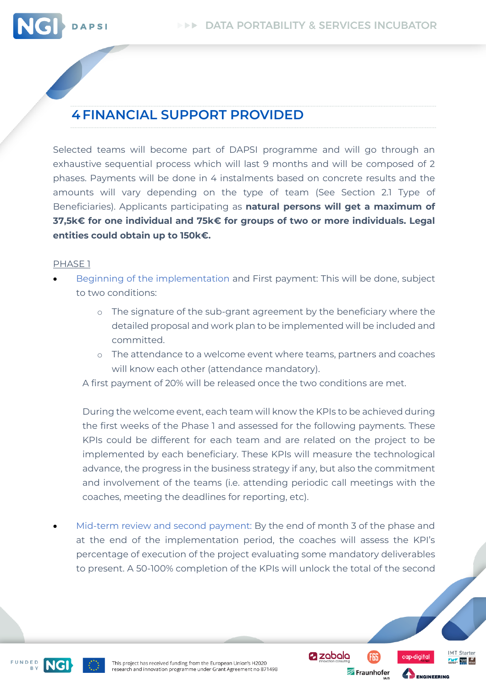

# <span id="page-21-0"></span>**4FINANCIAL SUPPORT PROVIDED**

Selected teams will become part of DAPSI programme and will go through an exhaustive sequential process which will last 9 months and will be composed of 2 phases. Payments will be done in 4 instalments based on concrete results and the amounts will vary depending on the type of team (See Section 2.1 Type of Beneficiaries). Applicants participating as **natural persons will get a maximum of 37,5k€ for one individual and 75k€ for groups of two or more individuals. Legal entities could obtain up to 150k€.**

#### PHASE 1

- Beginning of the implementation and First payment: This will be done, subject to two conditions:
	- o The signature of the sub-grant agreement by the beneficiary where the detailed proposal and work plan to be implemented will be included and committed.
	- o The attendance to a welcome event where teams, partners and coaches will know each other (attendance mandatory).

A first payment of 20% will be released once the two conditions are met.

During the welcome event, each team will know the KPIs to be achieved during the first weeks of the Phase 1 and assessed for the following payments. These KPIs could be different for each team and are related on the project to be implemented by each beneficiary. These KPIs will measure the technological advance, the progress in the business strategy if any, but also the commitment and involvement of the teams (i.e. attending periodic call meetings with the coaches, meeting the deadlines for reporting, etc).

Mid-term review and second payment: By the end of month 3 of the phase and at the end of the implementation period, the coaches will assess the KPI's percentage of execution of the project evaluating some mandatory deliverables to present. A 50-100% completion of the KPIs will unlock the total of the second





**Z** zabala Fraunhofer



**IMT** Starter

 $\frac{1}{\sqrt{2}}$  rates  $\frac{H}{\text{const}}$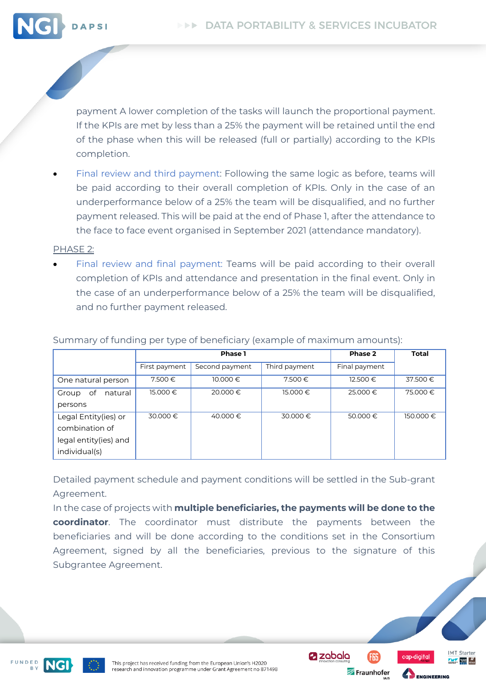

payment A lower completion of the tasks will launch the proportional payment. If the KPIs are met by less than a 25% the payment will be retained until the end of the phase when this will be released (full or partially) according to the KPIs completion.

Final review and third payment: Following the same logic as before, teams will be paid according to their overall completion of KPIs. Only in the case of an underperformance below of a 25% the team will be disqualified, and no further payment released. This will be paid at the end of Phase 1, after the attendance to the face to face event organised in September 2021 (attendance mandatory).

#### PHASE 2:

Final review and final payment: Teams will be paid according to their overall completion of KPIs and attendance and presentation in the final event. Only in the case of an underperformance below of a 25% the team will be disqualified, and no further payment released.

|                                                                                  | Phase 1       |                |               | Phase 2       | <b>Total</b> |
|----------------------------------------------------------------------------------|---------------|----------------|---------------|---------------|--------------|
|                                                                                  | First payment | Second payment | Third payment | Final payment |              |
| One natural person                                                               | 7.500€        | 10.000 €       | 7.500€        | 12.500 €      | 37.500€      |
| natural<br>Group<br>of<br>persons                                                | 15.000 €      | 20.000€        | 15.000 €      | 25.000 €      | 75.000€      |
| Legal Entity(ies) or<br>combination of<br>legal entity(ies) and<br>individual(s) | 30.000€       | 40.000€        | 30.000€       | 50.000€       | 150.000 €    |

#### Summary of funding per type of beneficiary (example of maximum amounts):

Detailed payment schedule and payment conditions will be settled in the Sub-grant Agreement.

In the case of projects with **multiple beneficiaries, the payments will be done to the coordinator**. The coordinator must distribute the payments between the beneficiaries and will be done according to the conditions set in the Consortium Agreement, signed by all the beneficiaries, previous to the signature of this Subgrantee Agreement.

FUNDED



**Z** zabala Fraunhofer



**IMT** Starter

 $\frac{1}{\sqrt{2}}$  rates  $\frac{H}{\text{const}}$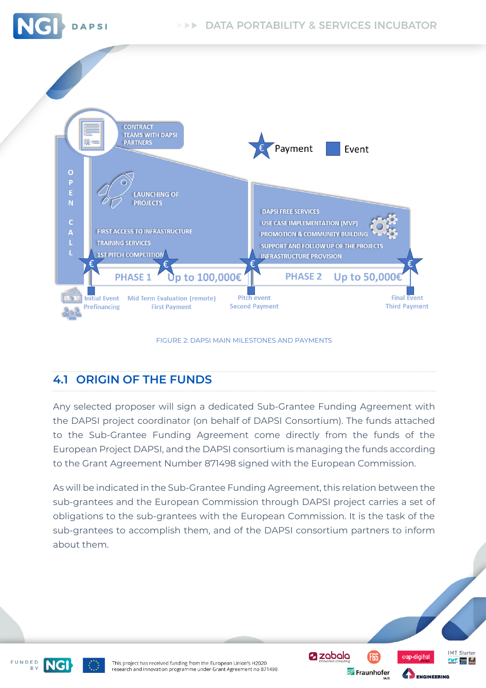



#### FIGURE 2: DAPSI MAIN MILESTONES AND PAYMENTS

### <span id="page-23-1"></span><span id="page-23-0"></span>**4.1 ORIGIN OF THE FUNDS**

Any selected proposer will sign a dedicated Sub-Grantee Funding Agreement with the DAPSI project coordinator (on behalf of DAPSI Consortium). The funds attached to the Sub-Grantee Funding Agreement come directly from the funds of the European Project DAPSI, and the DAPSI consortium is managing the funds according to the Grant Agreement Number 871498 signed with the European Commission.

As will be indicated in the Sub-Grantee Funding Agreement, this relation between the sub-grantees and the European Commission through DAPSI project carries a set of obligations to the sub-grantees with the European Commission. It is the task of the sub-grantees to accomplish them, and of the DAPSI consortium partners to inform about them.





This project has received funding from the European Union's H2020 research and innovation programme under Grant Agreement no 871498 **Øzobolo** F6S

Fraunhofer



**ENGINEERING** 

**IMT Starter**  $\frac{1}{\sqrt{2}}$  rases  $\frac{1}{\sqrt{2}}$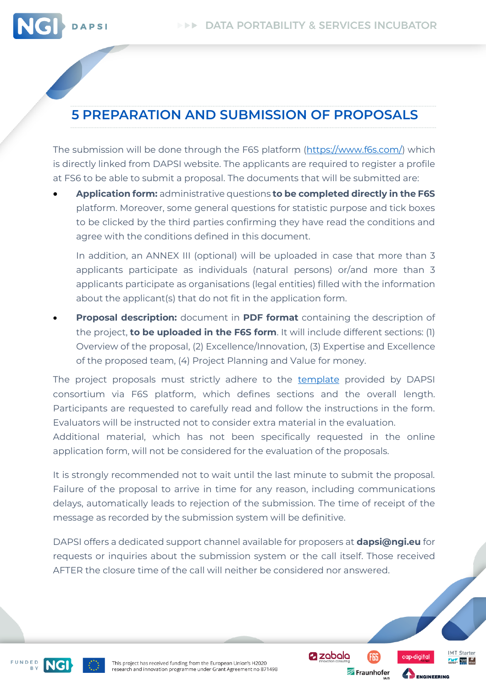

# <span id="page-24-0"></span>**5 PREPARATION AND SUBMISSION OF PROPOSALS**

The submission will be done through the F6S platform [\(https://www.f6s.com/\)](https://www.f6s.com/) which is directly linked from DAPSI website. The applicants are required to register a profile at FS6 to be able to submit a proposal. The documents that will be submitted are:

• **Application form:** administrative questions **to be completed directly in the F6S** platform. Moreover, some general questions for statistic purpose and tick boxes to be clicked by the third parties confirming they have read the conditions and agree with the conditions defined in this document.

In addition, an ANNEX III (optional) will be uploaded in case that more than 3 applicants participate as individuals (natural persons) or/and more than 3 applicants participate as organisations (legal entities) filled with the information about the applicant(s) that do not fit in the application form.

• **Proposal description:** document in **PDF format** containing the description of the project, **to be uploaded in the F6S form**. It will include different sections: (1) Overview of the proposal, (2) Excellence/Innovation, (3) Expertise and Excellence of the proposed team, (4) Project Planning and Value for money.

The project proposals must strictly adhere to the [template](https://dapsi.ngi.eu/wp-content/uploads/DAPSI_proposal_template_Call2.docx) provided by DAPSI consortium via F6S platform, which defines sections and the overall length. Participants are requested to carefully read and follow the instructions in the form. Evaluators will be instructed not to consider extra material in the evaluation.

Additional material, which has not been specifically requested in the online application form, will not be considered for the evaluation of the proposals.

It is strongly recommended not to wait until the last minute to submit the proposal. Failure of the proposal to arrive in time for any reason, including communications delays, automatically leads to rejection of the submission. The time of receipt of the message as recorded by the submission system will be definitive.

DAPSI offers a dedicated support channel available for proposers at **dapsi@ngi.eu** for requests or inquiries about the submission system or the call itself. Those received AFTER the closure time of the call will neither be considered nor answered.

FUNDED



This project has received funding from the European Union's H2020 research and innovation programme under Grant Agreement no 871498 **Z** zabala

Fraunhofer

**IMT** Starter

 $\frac{H}{\sqrt{2}}$  rates  $\frac{H}{\text{const}}$ 

an-diaital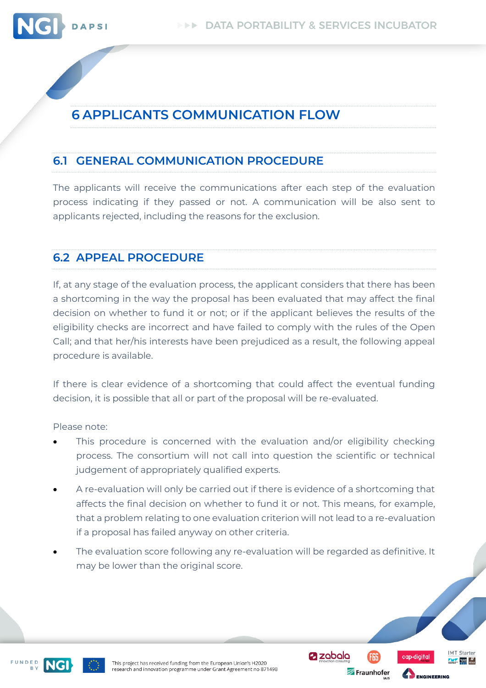

# <span id="page-25-0"></span>**6 APPLICANTS COMMUNICATION FLOW**

### <span id="page-25-1"></span>**6.1 GENERAL COMMUNICATION PROCEDURE**

The applicants will receive the communications after each step of the evaluation process indicating if they passed or not. A communication will be also sent to applicants rejected, including the reasons for the exclusion.

### <span id="page-25-2"></span>**6.2 APPEAL PROCEDURE**

If, at any stage of the evaluation process, the applicant considers that there has been a shortcoming in the way the proposal has been evaluated that may affect the final decision on whether to fund it or not; or if the applicant believes the results of the eligibility checks are incorrect and have failed to comply with the rules of the Open Call; and that her/his interests have been prejudiced as a result, the following appeal procedure is available.

If there is clear evidence of a shortcoming that could affect the eventual funding decision, it is possible that all or part of the proposal will be re-evaluated.

Please note:

- This procedure is concerned with the evaluation and/or eligibility checking process. The consortium will not call into question the scientific or technical judgement of appropriately qualified experts.
- A re-evaluation will only be carried out if there is evidence of a shortcoming that affects the final decision on whether to fund it or not. This means, for example, that a problem relating to one evaluation criterion will not lead to a re-evaluation if a proposal has failed anyway on other criteria.
- The evaluation score following any re-evaluation will be regarded as definitive. It may be lower than the original score.

FUNDED



**Z** zabala Fraunhofer



**ENGINEERING** 

**IMT** Starter  $\frac{1}{\sqrt{2}}$  rates  $\frac{H}{\sqrt{2}}$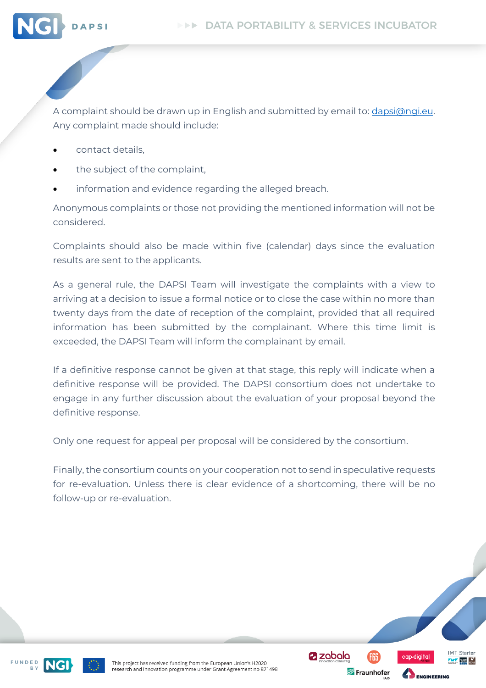

A complaint should be drawn up in English and submitted by email to: *dapsi@ngi.eu.* Any complaint made should include:

- contact details,
- the subject of the complaint,
- information and evidence regarding the alleged breach.

Anonymous complaints or those not providing the mentioned information will not be considered.

Complaints should also be made within five (calendar) days since the evaluation results are sent to the applicants.

As a general rule, the DAPSI Team will investigate the complaints with a view to arriving at a decision to issue a formal notice or to close the case within no more than twenty days from the date of reception of the complaint, provided that all required information has been submitted by the complainant. Where this time limit is exceeded, the DAPSI Team will inform the complainant by email.

If a definitive response cannot be given at that stage, this reply will indicate when a definitive response will be provided. The DAPSI consortium does not undertake to engage in any further discussion about the evaluation of your proposal beyond the definitive response.

Only one request for appeal per proposal will be considered by the consortium.

Finally, the consortium counts on your cooperation not to send in speculative requests for re-evaluation. Unless there is clear evidence of a shortcoming, there will be no follow-up or re-evaluation.

**Z** zabala

Fraunhofer

**IMT** Starter

 $\frac{1}{\sqrt{2}}$  rates  $\frac{H}{\sqrt{2}}$ 

**ENGINEERING** 

FUNDED

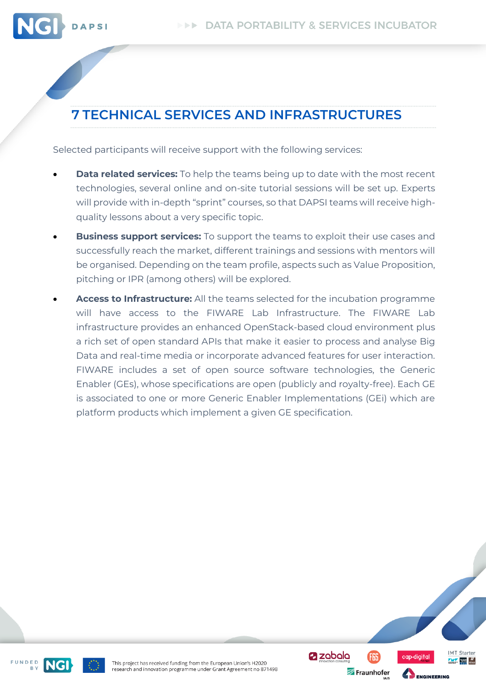

# <span id="page-27-0"></span>**7 TECHNICAL SERVICES AND INFRASTRUCTURES**

Selected participants will receive support with the following services:

- **Data related services:** To help the teams being up to date with the most recent technologies, several online and on-site tutorial sessions will be set up. Experts will provide with in-depth "sprint" courses, so that DAPSI teams will receive highquality lessons about a very specific topic.
- **Business support services:** To support the teams to exploit their use cases and successfully reach the market, different trainings and sessions with mentors will be organised. Depending on the team profile, aspects such as Value Proposition, pitching or IPR (among others) will be explored.
- **Access to Infrastructure:** All the teams selected for the incubation programme will have access to the FIWARE Lab Infrastructure. The FIWARE Lab infrastructure provides an enhanced OpenStack-based cloud environment plus a rich set of open standard APIs that make it easier to process and analyse Big Data and real-time media or incorporate advanced features for user interaction. FIWARE includes a set of open source software technologies, the Generic Enabler (GEs), whose specifications are open (publicly and royalty-free). Each GE is associated to one or more Generic Enabler Implementations (GEi) which are platform products which implement a given GE specification.





an-diaital

ENGINEERING

**Z** zabala

**IMT** Starter

 $\frac{1}{\sqrt{2}}$  rates  $\frac{H}{\sqrt{2}}$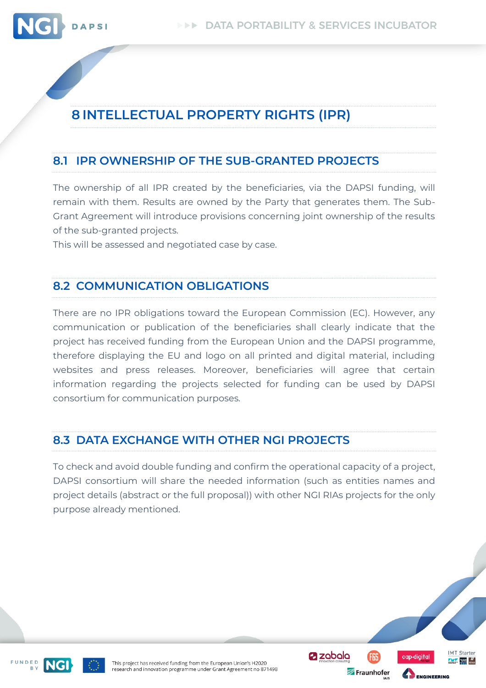<span id="page-28-0"></span>

#### <span id="page-28-1"></span>**8.1 IPR OWNERSHIP OF THE SUB-GRANTED PROJECTS**

The ownership of all IPR created by the beneficiaries, via the DAPSI funding, will remain with them. Results are owned by the Party that generates them. The Sub-Grant Agreement will introduce provisions concerning joint ownership of the results of the sub-granted projects.

<span id="page-28-2"></span>This will be assessed and negotiated case by case.

#### **8.2 COMMUNICATION OBLIGATIONS**

There are no IPR obligations toward the European Commission (EC). However, any communication or publication of the beneficiaries shall clearly indicate that the project has received funding from the European Union and the DAPSI programme, therefore displaying the EU and logo on all printed and digital material, including websites and press releases. Moreover, beneficiaries will agree that certain information regarding the projects selected for funding can be used by DAPSI consortium for communication purposes.

### <span id="page-28-3"></span>**8.3 DATA EXCHANGE WITH OTHER NGI PROJECTS**

To check and avoid double funding and confirm the operational capacity of a project, DAPSI consortium will share the needed information (such as entities names and project details (abstract or the full proposal)) with other NGI RIAs projects for the only purpose already mentioned.





This project has received funding from the European Union's H2020 research and innovation programme under Grant Agreement no 871498 **a** zabala Fraunhofer **IMT** Starter

 $\frac{1}{\sqrt{2}}$  where  $\frac{1}{\sqrt{2}}$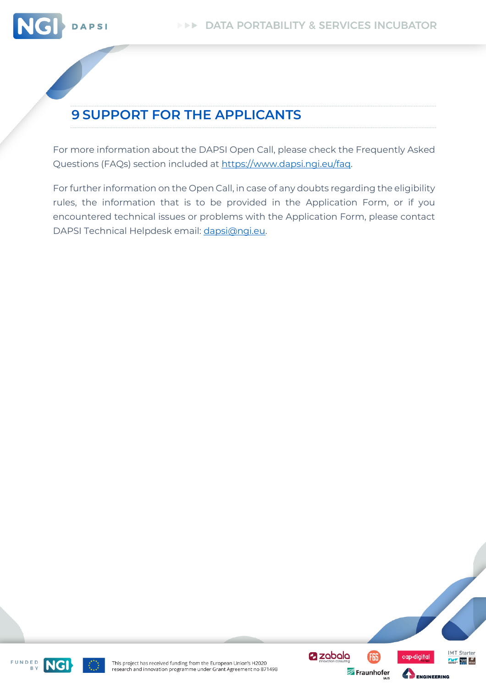

# <span id="page-29-0"></span>**9 SUPPORT FOR THE APPLICANTS**

For more information about the DAPSI Open Call, please check the Frequently Asked Questions (FAQs) section included at https://www.dapsi.ngi.eu/faq.

For further information on the Open Call, in case of any doubts regarding the eligibility rules, the information that is to be provided in the Application Form, or if you encountered technical issues or problems with the Application Form, please contact DAPSI Technical Helpdesk email: [dapsi@ngi.eu.](mailto:dapsi@ngi.eu)





**@zabala** 

FGS

Fraunhofer

ap-diaital

ENGINEERING

**IMT** Starter

 $\frac{1}{\sqrt{2}}$  rates  $\frac{1}{2}$